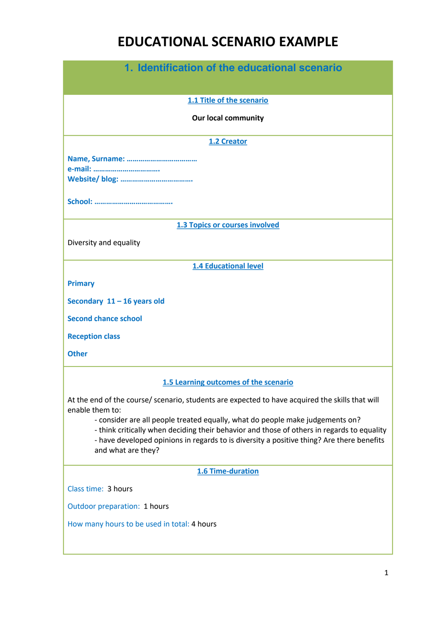# **EDUCATIONAL SCENARIO EXAMPLE**

| 1. Identification of the educational scenario                                                                   |
|-----------------------------------------------------------------------------------------------------------------|
|                                                                                                                 |
| 1.1 Title of the scenario                                                                                       |
| <b>Our local community</b>                                                                                      |
| 1.2 Creator                                                                                                     |
|                                                                                                                 |
|                                                                                                                 |
|                                                                                                                 |
|                                                                                                                 |
| 1.3 Topics or courses involved                                                                                  |
| Diversity and equality                                                                                          |
| <b>1.4 Educational level</b>                                                                                    |
| <b>Primary</b>                                                                                                  |
| Secondary $11 - 16$ years old                                                                                   |
| <b>Second chance school</b>                                                                                     |
| <b>Reception class</b>                                                                                          |
| <b>Other</b>                                                                                                    |
| 1.5 Learning outcomes of the scenario                                                                           |
| At the end of the course/ scenario, students are expected to have acquired the skills that will                 |
| enable them to:<br>- consider are all people treated equally, what do people make judgements on?                |
| - think critically when deciding their behavior and those of others in regards to equality                      |
| - have developed opinions in regards to is diversity a positive thing? Are there benefits<br>and what are they? |
| <b>1.6 Time-duration</b>                                                                                        |
| Class time: 3 hours                                                                                             |
|                                                                                                                 |
| Outdoor preparation: 1 hours                                                                                    |
| How many hours to be used in total: 4 hours                                                                     |
|                                                                                                                 |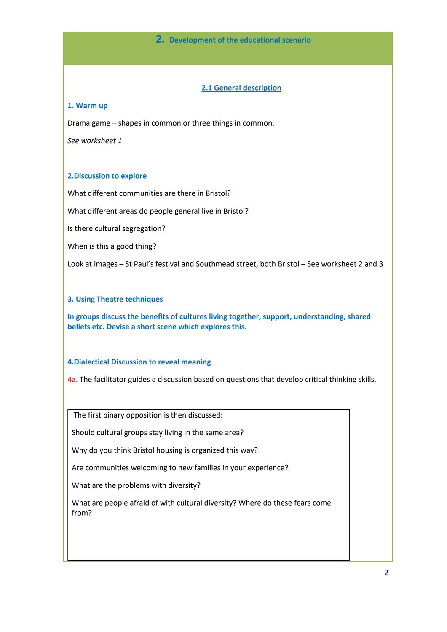#### **2. Development of the educational scenario**

#### **2.1 General description**

#### **1. Warm up**

Drama game – shapes in common or three things in common.

*See worksheet 1*

#### **2.Discussion to explore**

What different communities are there in Bristol?

What different areas do people general live in Bristol?

Is there cultural segregation?

When is this a good thing?

Look at images – St Paul's festival and Southmead street, both Bristol – See worksheet 2 and 3

#### **3. Using Theatre techniques**

**In groups discuss the benefits of cultures living together, support, understanding, shared beliefs etc. Devise a short scene which explores this.**

#### **4.Dialectical Discussion to reveal meaning**

4a. The facilitator guides a discussion based on questions that develop critical thinking skills.

The first binary opposition is then discussed:

Should cultural groups stay living in the same area?

Why do you think Bristol housing is organized this way?

Are communities welcoming to new families in your experience?

What are the problems with diversity?

What are people afraid of with cultural diversity? Where do these fears come from?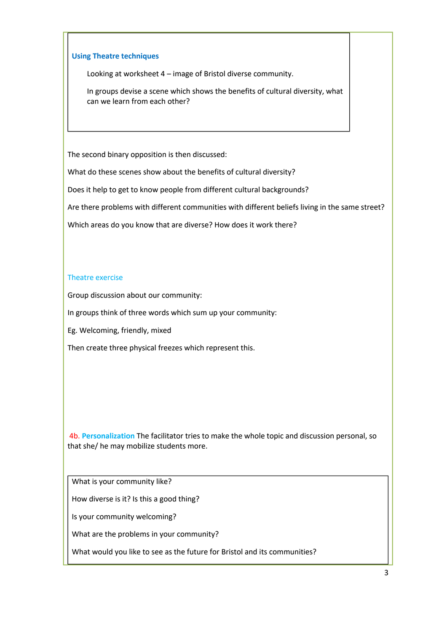#### **Using Theatre techniques**

Looking at worksheet 4 – image of Bristol diverse community.

In groups devise a scene which shows the benefits of cultural diversity, what can we learn from each other?

The second binary opposition is then discussed:

What do these scenes show about the benefits of cultural diversity?

Does it help to get to know people from different cultural backgrounds?

Are there problems with different communities with different beliefs living in the same street?

Which areas do you know that are diverse? How does it work there?

#### Theatre exercise

Group discussion about our community:

In groups think of three words which sum up your community:

Eg. Welcoming, friendly, mixed

Then create three physical freezes which represent this.

4b. **Personalization** The facilitator tries to make the whole topic and discussion personal, so that she/ he may mobilize students more.

What is your community like?

How diverse is it? Is this a good thing?

Is your community welcoming?

What are the problems in your community?

What would you like to see as the future for Bristol and its communities?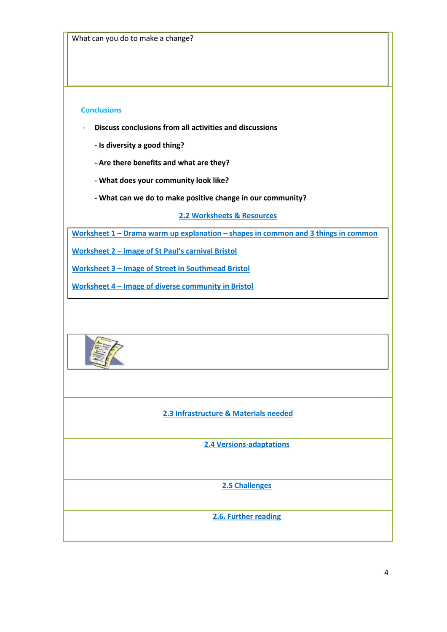#### **Conclusions**

- **Discuss conclusions from all activities and discussions**
	- **- Is diversity a good thing?**
	- **- Are there benefits and what are they?**
	- **- What does your community look like?**
	- **- What can we do to make positive change in our community?**

#### **2.2 Worksheets & Resources**

**Worksheet 1 – Drama warm up explanation – shapes in common and 3 things in common**

**Worksheet 2 – image of St Paul's carnival Bristol**

**Worksheet 3 – Image of Street in Southmead Bristol**

**Worksheet 4 – Image of diverse community in Bristol**



#### **2.3 Infrastructure & Materials needed**

**2.4 Versions-adaptations**

**2.5 Challenges**

**2.6. Further reading**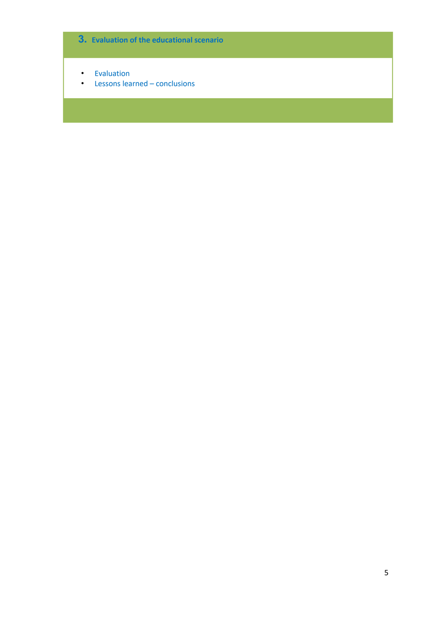## **3. Evaluation of the educational scenario**

- Evaluation
- Lessons learned conclusions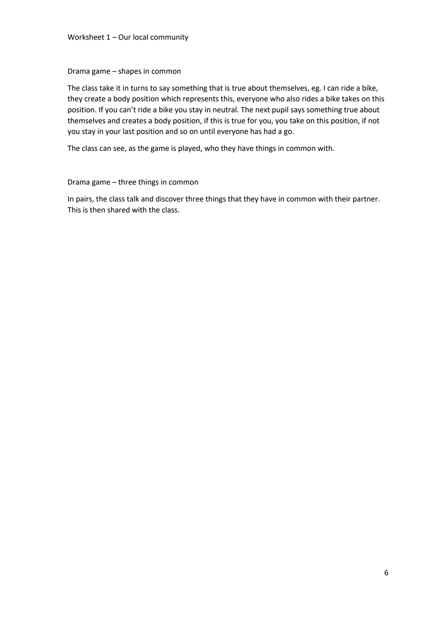#### Worksheet 1 – Our local community

#### Drama game – shapes in common

The class take it in turns to say something that is true about themselves, eg. I can ride a bike, they create a body position which represents this, everyone who also rides a bike takes on this position. If you can't ride a bike you stay in neutral. The next pupil says something true about themselves and creates a body position, if this is true for you, you take on this position, if not you stay in your last position and so on until everyone has had a go.

The class can see, as the game is played, who they have things in common with.

#### Drama game – three things in common

In pairs, the class talk and discover three things that they have in common with their partner. This is then shared with the class.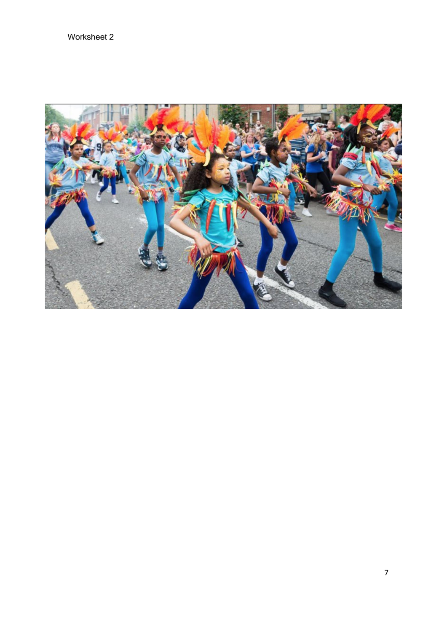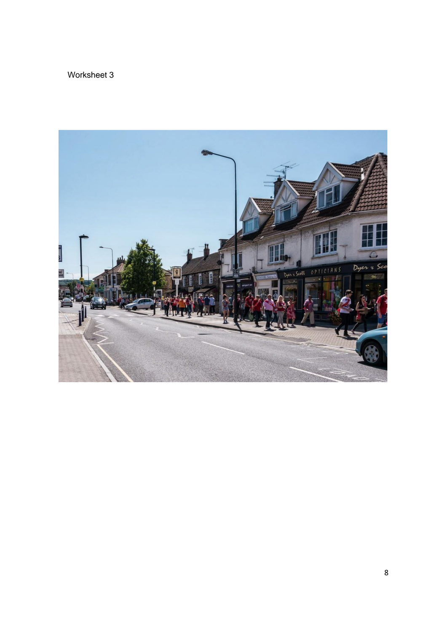### Worksheet 3